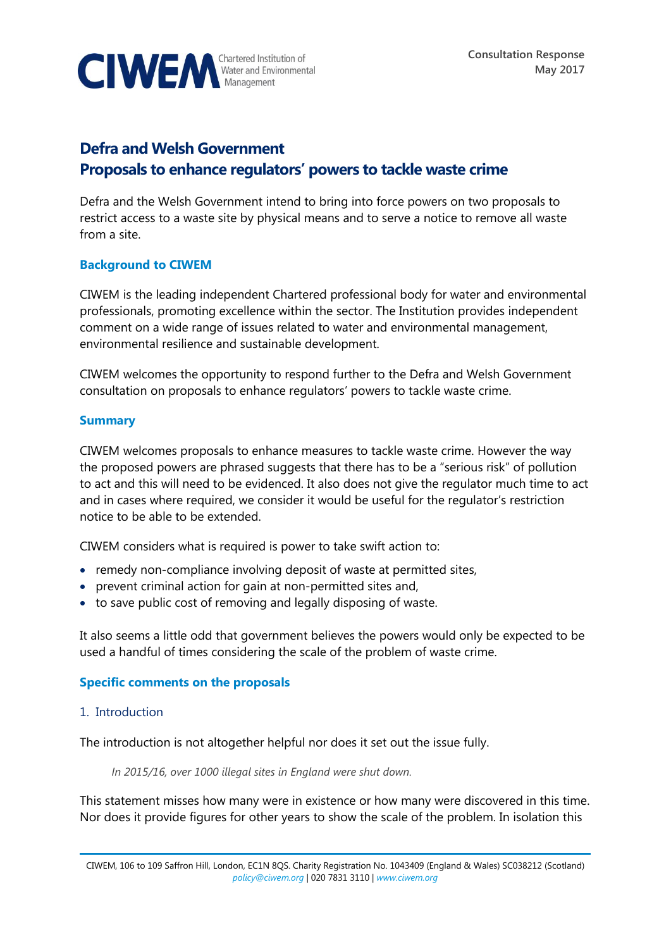

# **Defra and Welsh Government Proposals to enhance regulators' powers to tackle waste crime**

Defra and the Welsh Government intend to bring into force powers on two proposals to restrict access to a waste site by physical means and to serve a notice to remove all waste from a site.

# **Background to CIWEM**

CIWEM is the leading independent Chartered professional body for water and environmental professionals, promoting excellence within the sector. The Institution provides independent comment on a wide range of issues related to water and environmental management, environmental resilience and sustainable development.

CIWEM welcomes the opportunity to respond further to the Defra and Welsh Government consultation on proposals to enhance regulators' powers to tackle waste crime.

# **Summary**

CIWEM welcomes proposals to enhance measures to tackle waste crime. However the way the proposed powers are phrased suggests that there has to be a "serious risk" of pollution to act and this will need to be evidenced. It also does not give the regulator much time to act and in cases where required, we consider it would be useful for the regulator's restriction notice to be able to be extended.

CIWEM considers what is required is power to take swift action to:

- remedy non-compliance involving deposit of waste at permitted sites,
- prevent criminal action for gain at non-permitted sites and,
- to save public cost of removing and legally disposing of waste.

It also seems a little odd that government believes the powers would only be expected to be used a handful of times considering the scale of the problem of waste crime.

# **Specific comments on the proposals**

# 1. Introduction

The introduction is not altogether helpful nor does it set out the issue fully.

*In 2015/16, over 1000 illegal sites in England were shut down.*

This statement misses how many were in existence or how many were discovered in this time. Nor does it provide figures for other years to show the scale of the problem. In isolation this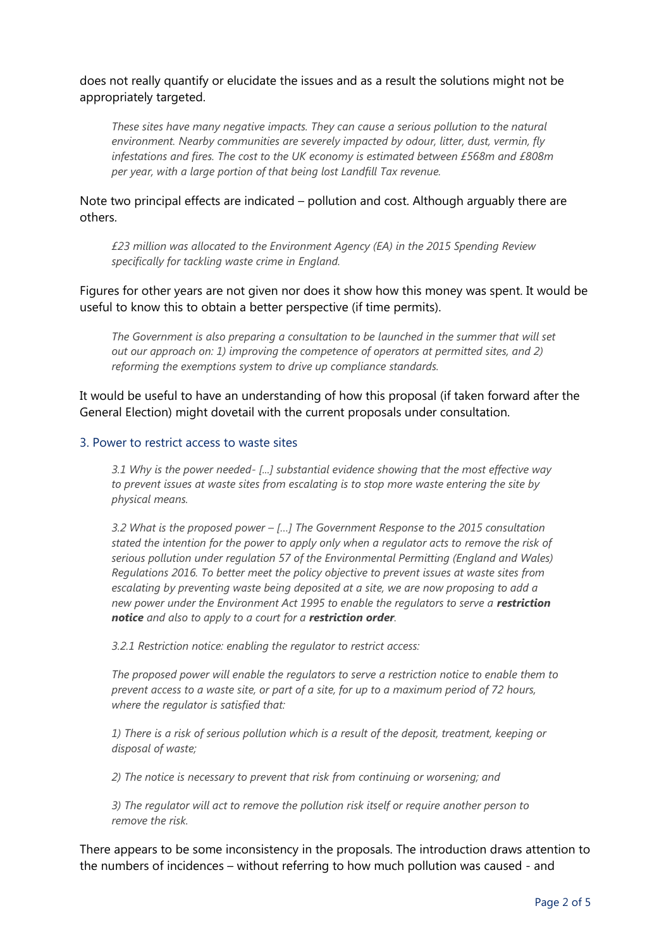does not really quantify or elucidate the issues and as a result the solutions might not be appropriately targeted.

*These sites have many negative impacts. They can cause a serious pollution to the natural environment. Nearby communities are severely impacted by odour, litter, dust, vermin, fly infestations and fires. The cost to the UK economy is estimated between £568m and £808m per year, with a large portion of that being lost Landfill Tax revenue.*

Note two principal effects are indicated – pollution and cost. Although arguably there are others.

*£23 million was allocated to the Environment Agency (EA) in the 2015 Spending Review specifically for tackling waste crime in England.* 

Figures for other years are not given nor does it show how this money was spent. It would be useful to know this to obtain a better perspective (if time permits).

*The Government is also preparing a consultation to be launched in the summer that will set out our approach on: 1) improving the competence of operators at permitted sites, and 2) reforming the exemptions system to drive up compliance standards.*

It would be useful to have an understanding of how this proposal (if taken forward after the General Election) might dovetail with the current proposals under consultation.

#### 3. Power to restrict access to waste sites

*3.1 Why is the power needed- [...] substantial evidence showing that the most effective way to prevent issues at waste sites from escalating is to stop more waste entering the site by physical means.*

*3.2 What is the proposed power – […] The Government Response to the 2015 consultation stated the intention for the power to apply only when a regulator acts to remove the risk of serious pollution under regulation 57 of the Environmental Permitting (England and Wales) Regulations 2016. To better meet the policy objective to prevent issues at waste sites from escalating by preventing waste being deposited at a site, we are now proposing to add a new power under the Environment Act 1995 to enable the regulators to serve a restriction notice and also to apply to a court for a restriction order.*

*3.2.1 Restriction notice: enabling the regulator to restrict access:*

*The proposed power will enable the regulators to serve a restriction notice to enable them to prevent access to a waste site, or part of a site, for up to a maximum period of 72 hours, where the regulator is satisfied that:* 

*1) There is a risk of serious pollution which is a result of the deposit, treatment, keeping or disposal of waste;* 

*2) The notice is necessary to prevent that risk from continuing or worsening; and* 

*3) The regulator will act to remove the pollution risk itself or require another person to remove the risk.*

There appears to be some inconsistency in the proposals. The introduction draws attention to the numbers of incidences – without referring to how much pollution was caused - and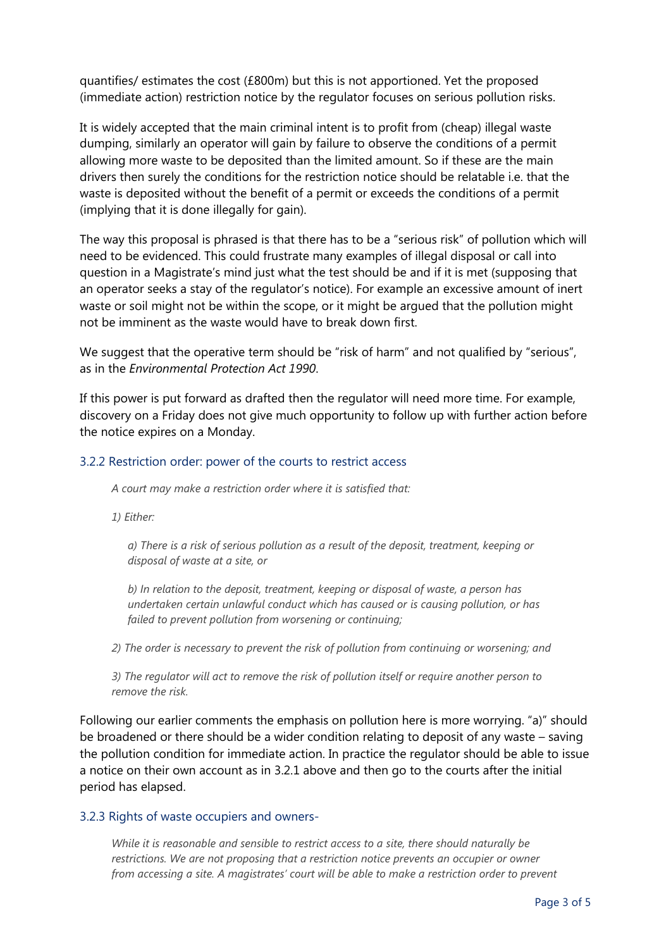quantifies/ estimates the cost (£800m) but this is not apportioned. Yet the proposed (immediate action) restriction notice by the regulator focuses on serious pollution risks.

It is widely accepted that the main criminal intent is to profit from (cheap) illegal waste dumping, similarly an operator will gain by failure to observe the conditions of a permit allowing more waste to be deposited than the limited amount. So if these are the main drivers then surely the conditions for the restriction notice should be relatable i.e. that the waste is deposited without the benefit of a permit or exceeds the conditions of a permit (implying that it is done illegally for gain).

The way this proposal is phrased is that there has to be a "serious risk" of pollution which will need to be evidenced. This could frustrate many examples of illegal disposal or call into question in a Magistrate's mind just what the test should be and if it is met (supposing that an operator seeks a stay of the regulator's notice). For example an excessive amount of inert waste or soil might not be within the scope, or it might be argued that the pollution might not be imminent as the waste would have to break down first.

We suggest that the operative term should be "risk of harm" and not qualified by "serious", as in the *Environmental Protection Act 1990*.

If this power is put forward as drafted then the regulator will need more time. For example, discovery on a Friday does not give much opportunity to follow up with further action before the notice expires on a Monday.

# 3.2.2 Restriction order: power of the courts to restrict access

*A court may make a restriction order where it is satisfied that:* 

*1) Either:* 

*a) There is a risk of serious pollution as a result of the deposit, treatment, keeping or disposal of waste at a site, or* 

*b) In relation to the deposit, treatment, keeping or disposal of waste, a person has undertaken certain unlawful conduct which has caused or is causing pollution, or has failed to prevent pollution from worsening or continuing;* 

*2) The order is necessary to prevent the risk of pollution from continuing or worsening; and* 

*3) The regulator will act to remove the risk of pollution itself or require another person to remove the risk.* 

Following our earlier comments the emphasis on pollution here is more worrying. "a)" should be broadened or there should be a wider condition relating to deposit of any waste – saving the pollution condition for immediate action. In practice the regulator should be able to issue a notice on their own account as in 3.2.1 above and then go to the courts after the initial period has elapsed.

#### 3.2.3 Rights of waste occupiers and owners-

*While it is reasonable and sensible to restrict access to a site, there should naturally be restrictions. We are not proposing that a restriction notice prevents an occupier or owner from accessing a site. A magistrates' court will be able to make a restriction order to prevent*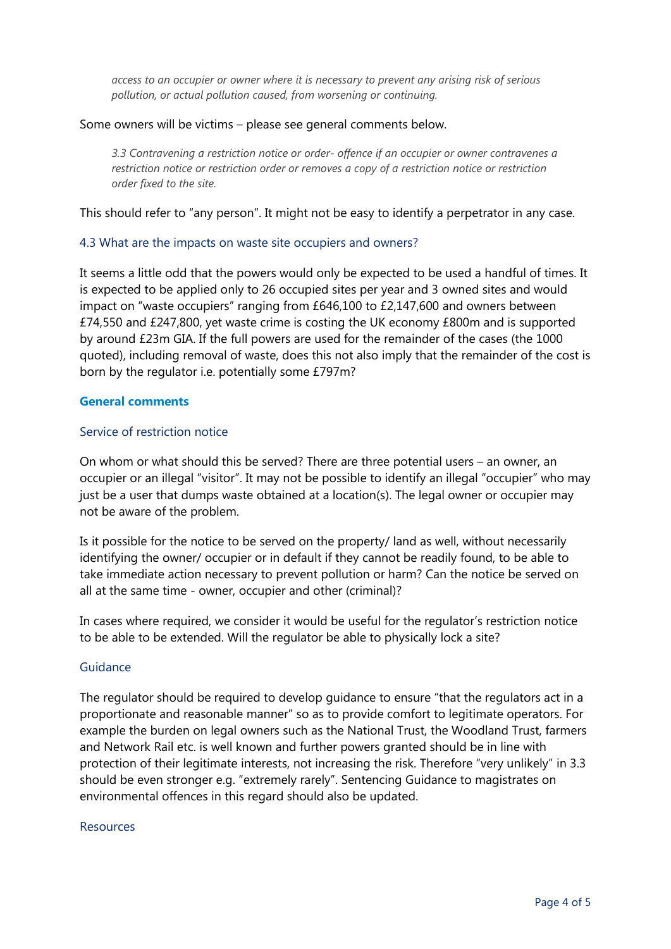*access to an occupier or owner where it is necessary to prevent any arising risk of serious pollution, or actual pollution caused, from worsening or continuing.*

#### Some owners will be victims – please see general comments below.

*3.3 Contravening a restriction notice or order- offence if an occupier or owner contravenes a restriction notice or restriction order or removes a copy of a restriction notice or restriction order fixed to the site.*

This should refer to "any person". It might not be easy to identify a perpetrator in any case.

# 4.3 What are the impacts on waste site occupiers and owners?

It seems a little odd that the powers would only be expected to be used a handful of times. It is expected to be applied only to 26 occupied sites per year and 3 owned sites and would impact on "waste occupiers" ranging from £646,100 to £2,147,600 and owners between £74,550 and £247,800, yet waste crime is costing the UK economy £800m and is supported by around £23m GIA. If the full powers are used for the remainder of the cases (the 1000 quoted), including removal of waste, does this not also imply that the remainder of the cost is born by the regulator i.e. potentially some £797m?

## **General comments**

## Service of restriction notice

On whom or what should this be served? There are three potential users – an owner, an occupier or an illegal "visitor". It may not be possible to identify an illegal "occupier" who may just be a user that dumps waste obtained at a location(s). The legal owner or occupier may not be aware of the problem.

Is it possible for the notice to be served on the property/ land as well, without necessarily identifying the owner/ occupier or in default if they cannot be readily found, to be able to take immediate action necessary to prevent pollution or harm? Can the notice be served on all at the same time - owner, occupier and other (criminal)?

In cases where required, we consider it would be useful for the regulator's restriction notice to be able to be extended. Will the regulator be able to physically lock a site?

#### Guidance

The regulator should be required to develop guidance to ensure "that the regulators act in a proportionate and reasonable manner" so as to provide comfort to legitimate operators. For example the burden on legal owners such as the National Trust, the Woodland Trust, farmers and Network Rail etc. is well known and further powers granted should be in line with protection of their legitimate interests, not increasing the risk. Therefore "very unlikely" in 3.3 should be even stronger e.g. "extremely rarely". Sentencing Guidance to magistrates on environmental offences in this regard should also be updated.

#### Resources